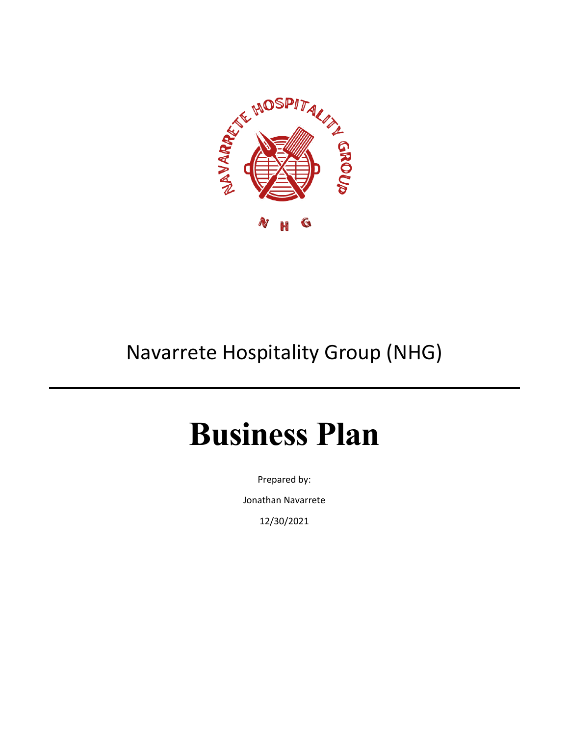

# Navarrete Hospitality Group (NHG)

# **Business Plan**

Prepared by:

Jonathan Navarrete

12/30/2021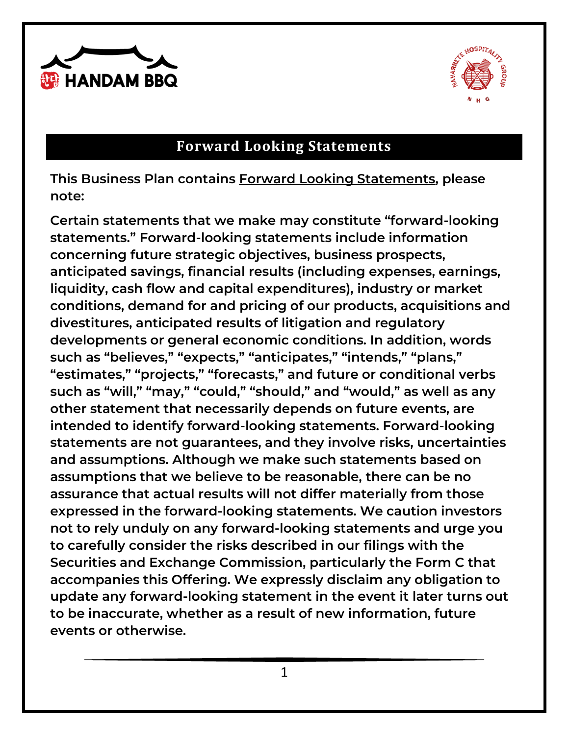



# **Forward Looking Statements**

**This Business Plan contains Forward Looking Statements, please note:** 

**Certain statements that we make may constitute "forward-looking statements." Forward-looking statements include information concerning future strategic objectives, business prospects, anticipated savings, financial results (including expenses, earnings, liquidity, cash flow and capital expenditures), industry or market conditions, demand for and pricing of our products, acquisitions and divestitures, anticipated results of litigation and regulatory developments or general economic conditions. In addition, words such as "believes," "expects," "anticipates," "intends," "plans," "estimates," "projects," "forecasts," and future or conditional verbs such as "will," "may," "could," "should," and "would," as well as any other statement that necessarily depends on future events, are intended to identify forward-looking statements. Forward-looking statements are not guarantees, and they involve risks, uncertainties and assumptions. Although we make such statements based on assumptions that we believe to be reasonable, there can be no assurance that actual results will not differ materially from those expressed in the forward-looking statements. We caution investors not to rely unduly on any forward-looking statements and urge you to carefully consider the risks described in our filings with the Securities and Exchange Commission, particularly the Form C that accompanies this Offering. We expressly disclaim any obligation to update any forward-looking statement in the event it later turns out to be inaccurate, whether as a result of new information, future events or otherwise.**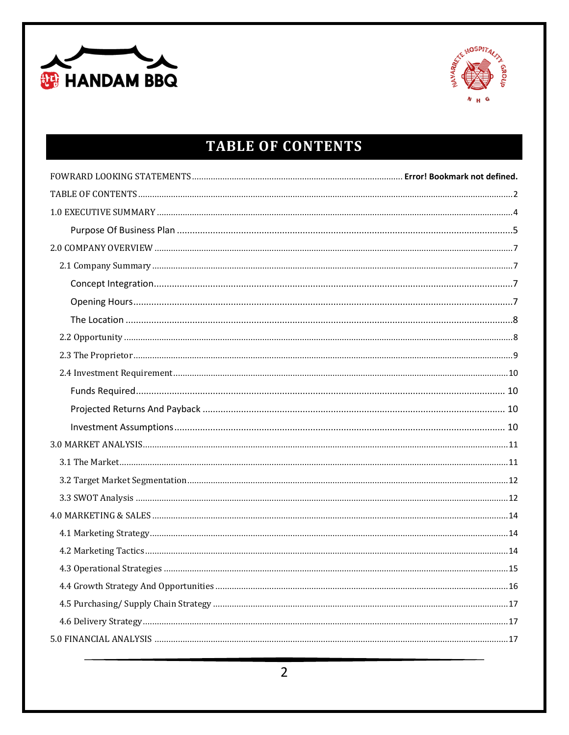



# **TABLE OF CONTENTS**

<span id="page-2-0"></span>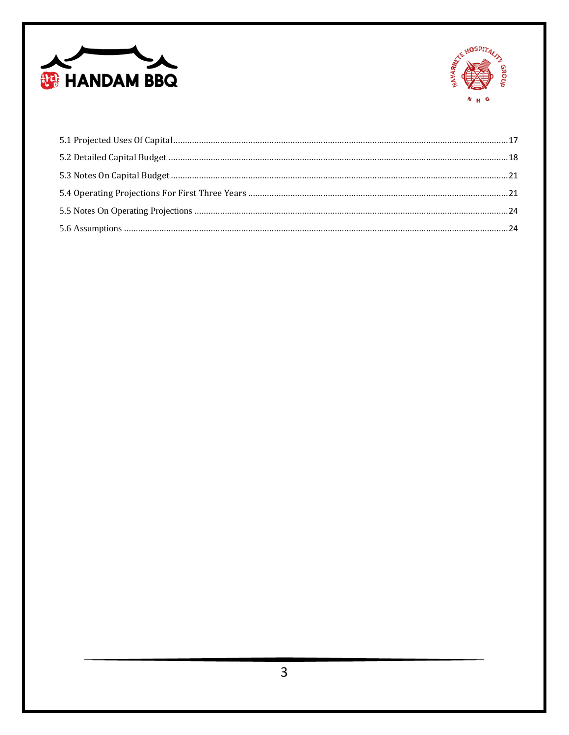

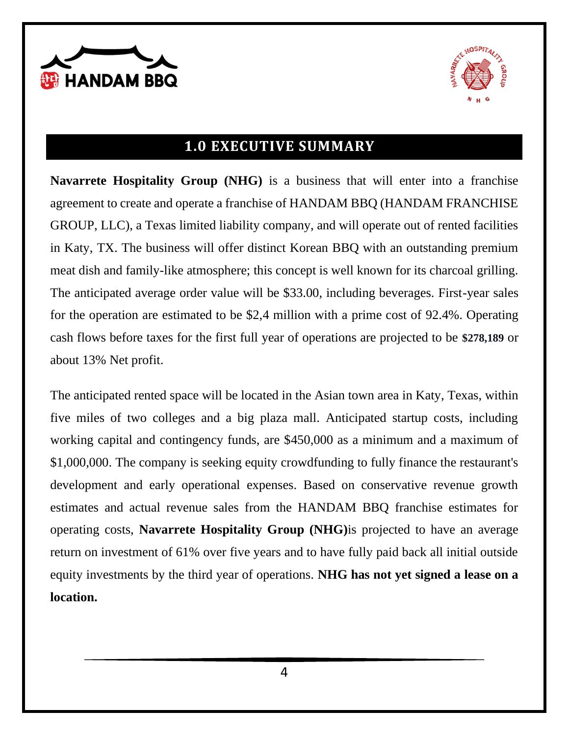



# **1.0 EXECUTIVE SUMMARY**

<span id="page-4-0"></span>**Navarrete Hospitality Group (NHG)** is a business that will enter into a franchise agreement to create and operate a franchise of HANDAM BBQ (HANDAM FRANCHISE GROUP, LLC), a Texas limited liability company, and will operate out of rented facilities in Katy, TX. The business will offer distinct Korean BBQ with an outstanding premium meat dish and family-like atmosphere; this concept is well known for its charcoal grilling. The anticipated average order value will be \$33.00, including beverages. First-year sales for the operation are estimated to be \$2,4 million with a prime cost of 92.4%. Operating cash flows before taxes for the first full year of operations are projected to be **\$278,189** or about 13% Net profit.

The anticipated rented space will be located in the Asian town area in Katy, Texas, within five miles of two colleges and a big plaza mall. Anticipated startup costs, including working capital and contingency funds, are \$450,000 as a minimum and a maximum of \$1,000,000. The company is seeking equity crowdfunding to fully finance the restaurant's development and early operational expenses. Based on conservative revenue growth estimates and actual revenue sales from the HANDAM BBQ franchise estimates for operating costs, **Navarrete Hospitality Group (NHG)**is projected to have an average return on investment of 61% over five years and to have fully paid back all initial outside equity investments by the third year of operations. **NHG has not yet signed a lease on a location.**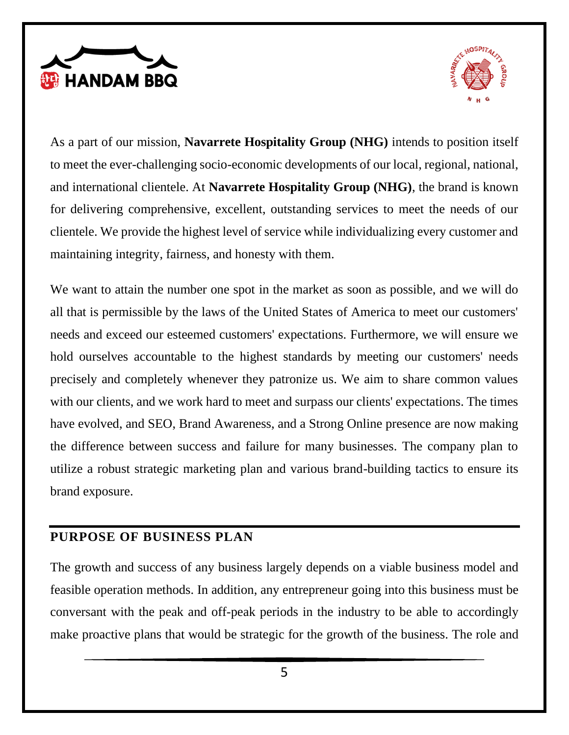



As a part of our mission, **Navarrete Hospitality Group (NHG)** intends to position itself to meet the ever-challenging socio-economic developments of our local, regional, national, and international clientele. At **Navarrete Hospitality Group (NHG)**, the brand is known for delivering comprehensive, excellent, outstanding services to meet the needs of our clientele. We provide the highest level of service while individualizing every customer and maintaining integrity, fairness, and honesty with them.

We want to attain the number one spot in the market as soon as possible, and we will do all that is permissible by the laws of the United States of America to meet our customers' needs and exceed our esteemed customers' expectations. Furthermore, we will ensure we hold ourselves accountable to the highest standards by meeting our customers' needs precisely and completely whenever they patronize us. We aim to share common values with our clients, and we work hard to meet and surpass our clients' expectations. The times have evolved, and SEO, Brand Awareness, and a Strong Online presence are now making the difference between success and failure for many businesses. The company plan to utilize a robust strategic marketing plan and various brand-building tactics to ensure its brand exposure.

#### <span id="page-5-0"></span>**PURPOSE OF BUSINESS PLAN**

The growth and success of any business largely depends on a viable business model and feasible operation methods. In addition, any entrepreneur going into this business must be conversant with the peak and off-peak periods in the industry to be able to accordingly make proactive plans that would be strategic for the growth of the business. The role and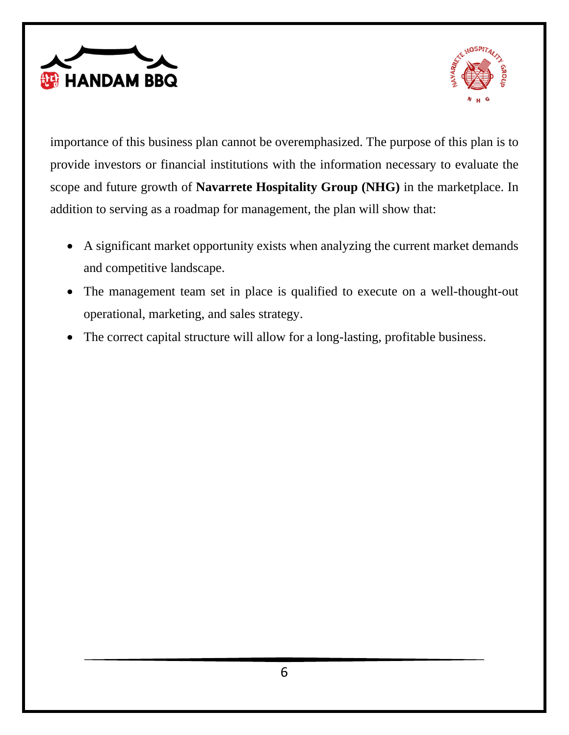



importance of this business plan cannot be overemphasized. The purpose of this plan is to provide investors or financial institutions with the information necessary to evaluate the scope and future growth of **Navarrete Hospitality Group (NHG)** in the marketplace. In addition to serving as a roadmap for management, the plan will show that:

- A significant market opportunity exists when analyzing the current market demands and competitive landscape.
- The management team set in place is qualified to execute on a well-thought-out operational, marketing, and sales strategy.
- The correct capital structure will allow for a long-lasting, profitable business.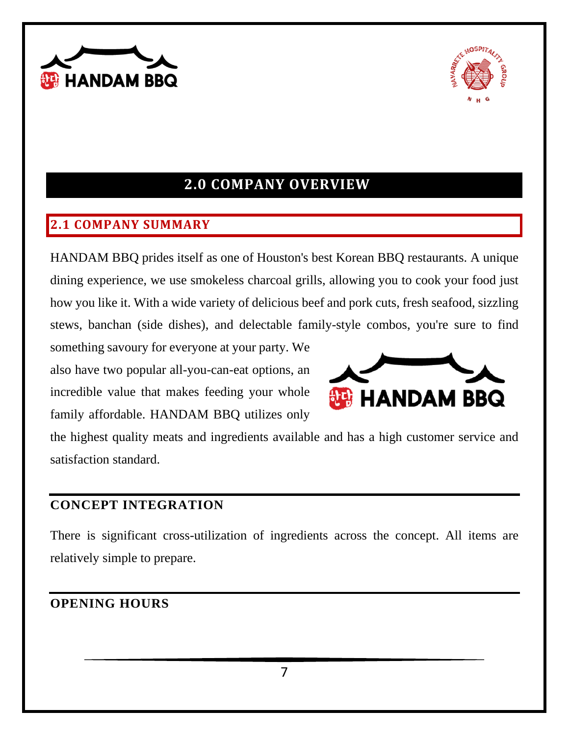



# **2.0 COMPANY OVERVIEW**

#### <span id="page-7-1"></span><span id="page-7-0"></span>**2.1 COMPANY SUMMARY**

HANDAM BBQ prides itself as one of Houston's best Korean BBQ restaurants. A unique dining experience, we use smokeless charcoal grills, allowing you to cook your food just how you like it. With a wide variety of delicious beef and pork cuts, fresh seafood, sizzling stews, banchan (side dishes), and delectable family-style combos, you're sure to find

something savoury for everyone at your party. We also have two popular all-you-can-eat options, an incredible value that makes feeding your whole family affordable. HANDAM BBQ utilizes only



the highest quality meats and ingredients available and has a high customer service and satisfaction standard.

#### <span id="page-7-2"></span>**CONCEPT INTEGRATION**

There is significant cross-utilization of ingredients across the concept. All items are relatively simple to prepare.

#### <span id="page-7-3"></span>**OPENING HOURS**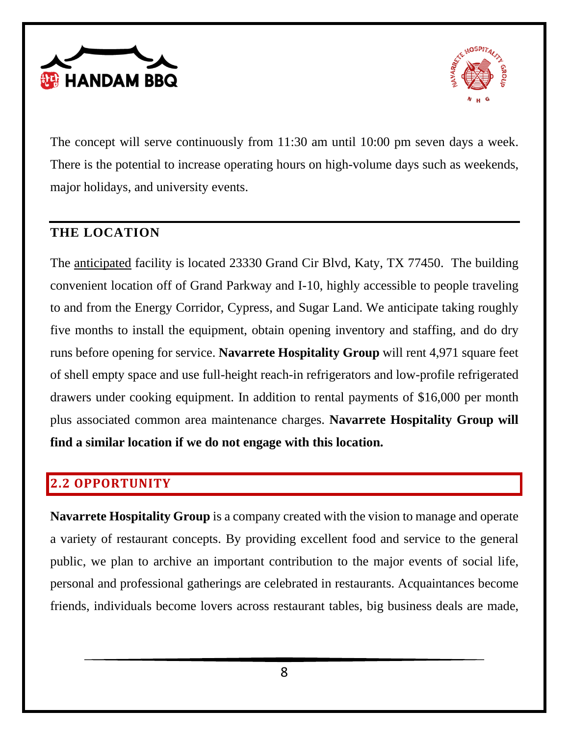



The concept will serve continuously from 11:30 am until 10:00 pm seven days a week. There is the potential to increase operating hours on high-volume days such as weekends, major holidays, and university events.

#### <span id="page-8-0"></span>**THE LOCATION**

The anticipated facility is located 23330 Grand Cir Blvd, Katy, TX 77450. The building convenient location off of Grand Parkway and I-10, highly accessible to people traveling to and from the Energy Corridor, Cypress, and Sugar Land. We anticipate taking roughly five months to install the equipment, obtain opening inventory and staffing, and do dry runs before opening for service. **Navarrete Hospitality Group** will rent 4,971 square feet of shell empty space and use full-height reach-in refrigerators and low-profile refrigerated drawers under cooking equipment. In addition to rental payments of \$16,000 per month plus associated common area maintenance charges. **Navarrete Hospitality Group will find a similar location if we do not engage with this location.**

#### <span id="page-8-1"></span>**2.2 OPPORTUNITY**

**Navarrete Hospitality Group** is a company created with the vision to manage and operate a variety of restaurant concepts. By providing excellent food and service to the general public, we plan to archive an important contribution to the major events of social life, personal and professional gatherings are celebrated in restaurants. Acquaintances become friends, individuals become lovers across restaurant tables, big business deals are made,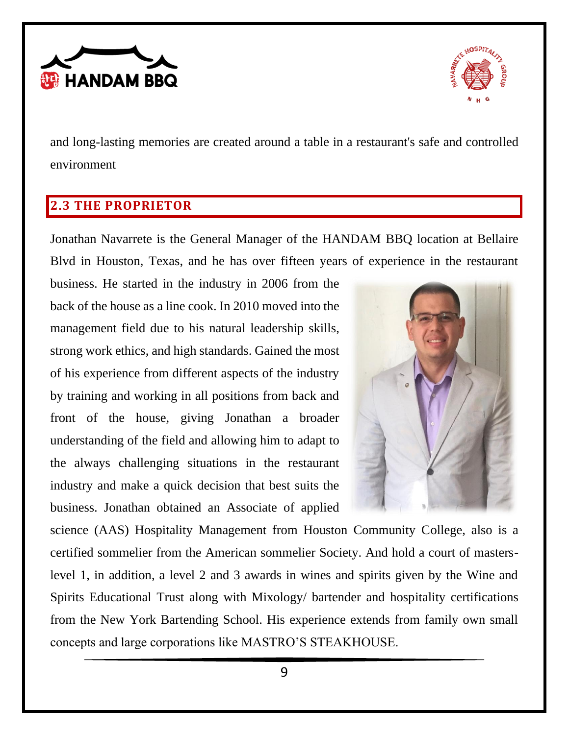



and long-lasting memories are created around a table in a restaurant's safe and controlled environment

## <span id="page-9-0"></span>**2.3 THE PROPRIETOR**

Jonathan Navarrete is the General Manager of the HANDAM BBQ location at Bellaire Blvd in Houston, Texas, and he has over fifteen years of experience in the restaurant

business. He started in the industry in 2006 from the back of the house as a line cook. In 2010 moved into the management field due to his natural leadership skills, strong work ethics, and high standards. Gained the most of his experience from different aspects of the industry by training and working in all positions from back and front of the house, giving Jonathan a broader understanding of the field and allowing him to adapt to the always challenging situations in the restaurant industry and make a quick decision that best suits the business. Jonathan obtained an Associate of applied



science (AAS) Hospitality Management from Houston Community College, also is a certified sommelier from the American sommelier Society. And hold a court of masterslevel 1, in addition, a level 2 and 3 awards in wines and spirits given by the Wine and Spirits Educational Trust along with Mixology/ bartender and hospitality certifications from the New York Bartending School. His experience extends from family own small concepts and large corporations like MASTRO'S STEAKHOUSE.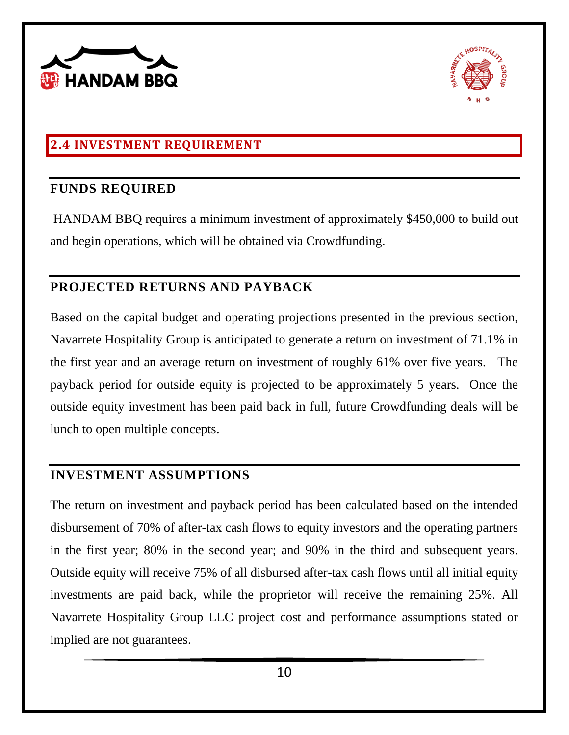



## <span id="page-10-0"></span>**2.4 INVESTMENT REQUIREMENT**

#### <span id="page-10-1"></span>**FUNDS REQUIRED**

HANDAM BBQ requires a minimum investment of approximately \$450,000 to build out and begin operations, which will be obtained via Crowdfunding.

#### <span id="page-10-2"></span>**PROJECTED RETURNS AND PAYBACK**

Based on the capital budget and operating projections presented in the previous section, Navarrete Hospitality Group is anticipated to generate a return on investment of 71.1% in the first year and an average return on investment of roughly 61% over five years. The payback period for outside equity is projected to be approximately 5 years. Once the outside equity investment has been paid back in full, future Crowdfunding deals will be lunch to open multiple concepts.

#### <span id="page-10-3"></span>**INVESTMENT ASSUMPTIONS**

The return on investment and payback period has been calculated based on the intended disbursement of 70% of after-tax cash flows to equity investors and the operating partners in the first year; 80% in the second year; and 90% in the third and subsequent years. Outside equity will receive 75% of all disbursed after-tax cash flows until all initial equity investments are paid back, while the proprietor will receive the remaining 25%. All Navarrete Hospitality Group LLC project cost and performance assumptions stated or implied are not guarantees.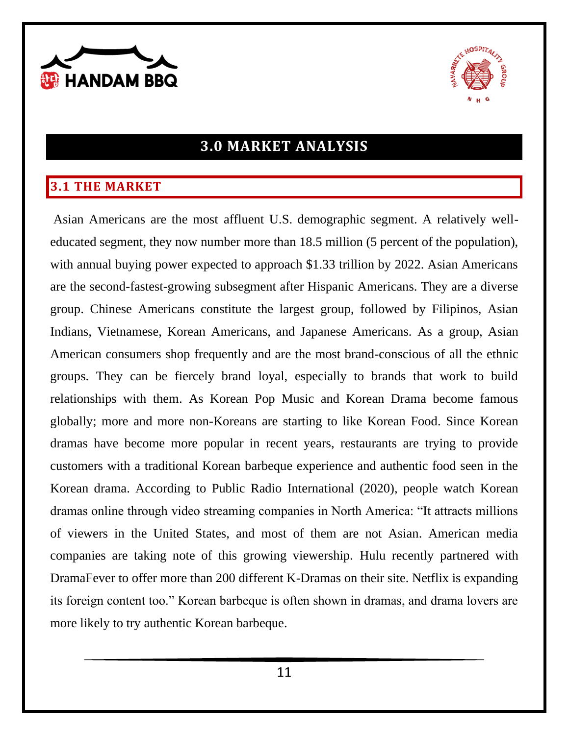



# **3.0 MARKET ANALYSIS**

#### <span id="page-11-1"></span><span id="page-11-0"></span>**3.1 THE MARKET**

Asian Americans are the most affluent U.S. demographic segment. A relatively welleducated segment, they now number more than 18.5 million (5 percent of the population), with annual buying power expected to approach \$1.33 trillion by 2022. Asian Americans are the second-fastest-growing subsegment after Hispanic Americans. They are a diverse group. Chinese Americans constitute the largest group, followed by Filipinos, Asian Indians, Vietnamese, Korean Americans, and Japanese Americans. As a group, Asian American consumers shop frequently and are the most brand-conscious of all the ethnic groups. They can be fiercely brand loyal, especially to brands that work to build relationships with them. As Korean Pop Music and Korean Drama become famous globally; more and more non-Koreans are starting to like Korean Food. Since Korean dramas have become more popular in recent years, restaurants are trying to provide customers with a traditional Korean barbeque experience and authentic food seen in the Korean drama. According to Public Radio International (2020), people watch Korean dramas online through video streaming companies in North America: "It attracts millions of viewers in the United States, and most of them are not Asian. American media companies are taking note of this growing viewership. Hulu recently partnered with DramaFever to offer more than 200 different K-Dramas on their site. Netflix is expanding its foreign content too." Korean barbeque is often shown in dramas, and drama lovers are more likely to try authentic Korean barbeque.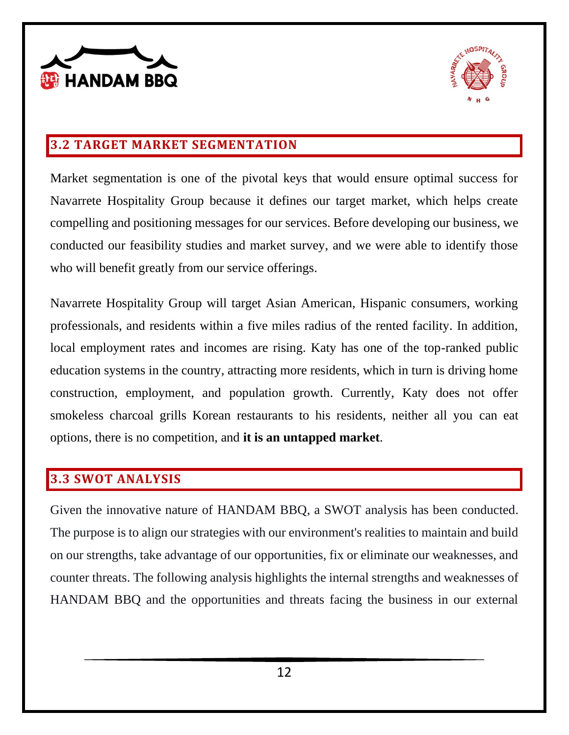



#### <span id="page-12-0"></span>**3.2 TARGET MARKET SEGMENTATION**

Market segmentation is one of the pivotal keys that would ensure optimal success for Navarrete Hospitality Group because it defines our target market, which helps create compelling and positioning messages for our services. Before developing our business, we conducted our feasibility studies and market survey, and we were able to identify those who will benefit greatly from our service offerings.

Navarrete Hospitality Group will target Asian American, Hispanic consumers, working professionals, and residents within a five miles radius of the rented facility. In addition, local employment rates and incomes are rising. Katy has one of the top-ranked public education systems in the country, attracting more residents, which in turn is driving home construction, employment, and population growth. Currently, Katy does not offer smokeless charcoal grills Korean restaurants to his residents, neither all you can eat options, there is no competition, and **it is an untapped market**.

#### <span id="page-12-1"></span>**3.3 SWOT ANALYSIS**

Given the innovative nature of HANDAM BBQ, a SWOT analysis has been conducted. The purpose is to align our strategies with our environment's realities to maintain and build on our strengths, take advantage of our opportunities, fix or eliminate our weaknesses, and counter threats. The following analysis highlights the internal strengths and weaknesses of HANDAM BBQ and the opportunities and threats facing the business in our external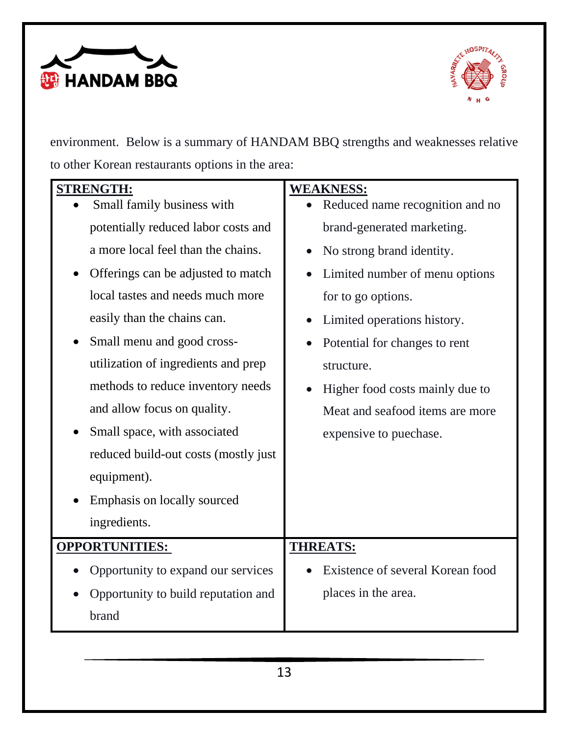



environment. Below is a summary of HANDAM BBQ strengths and weaknesses relative to other Korean restaurants options in the area:

| <b>STRENGTH:</b>                     | <b>WEAKNESS:</b>                 |
|--------------------------------------|----------------------------------|
| Small family business with           | Reduced name recognition and no  |
| potentially reduced labor costs and  | brand-generated marketing.       |
| a more local feel than the chains.   | No strong brand identity.        |
| Offerings can be adjusted to match   | Limited number of menu options   |
| local tastes and needs much more     | for to go options.               |
| easily than the chains can.          | Limited operations history.      |
| Small menu and good cross-           | Potential for changes to rent    |
| utilization of ingredients and prep  | structure.                       |
| methods to reduce inventory needs    | Higher food costs mainly due to  |
| and allow focus on quality.          | Meat and seafood items are more  |
| Small space, with associated         | expensive to puechase.           |
| reduced build-out costs (mostly just |                                  |
| equipment).                          |                                  |
| Emphasis on locally sourced          |                                  |
| ingredients.                         |                                  |
| <b>OPPORTUNITIES:</b>                | <b>THREATS:</b>                  |
| Opportunity to expand our services   | Existence of several Korean food |
| Opportunity to build reputation and  | places in the area.              |
| brand                                |                                  |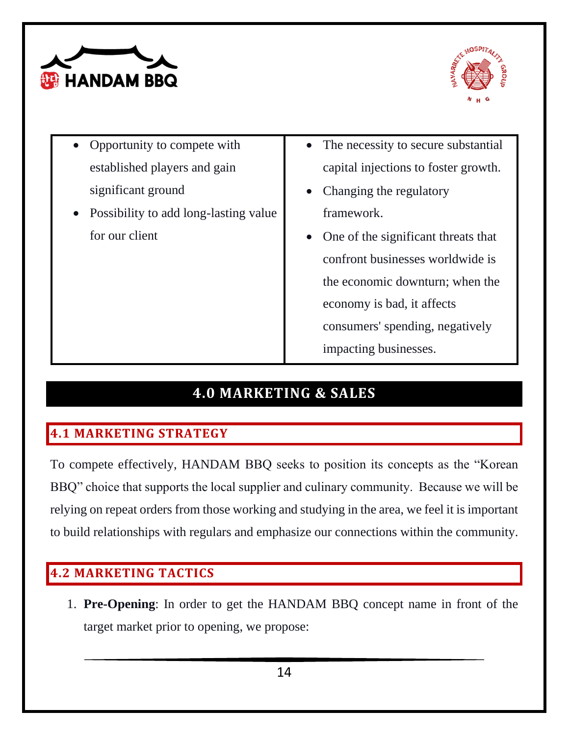



- Opportunity to compete with established players and gain significant ground
- Possibility to add long-lasting value for our client
- The necessity to secure substantial capital injections to foster growth.
- Changing the regulatory framework.
- One of the significant threats that confront businesses worldwide is the economic downturn; when the economy is bad, it affects consumers' spending, negatively impacting businesses.

# **4.0 MARKETING & SALES**

# <span id="page-14-1"></span><span id="page-14-0"></span>**4.1 MARKETING STRATEGY**

To compete effectively, HANDAM BBQ seeks to position its concepts as the "Korean BBQ" choice that supports the local supplier and culinary community. Because we will be relying on repeat orders from those working and studying in the area, we feel it is important to build relationships with regulars and emphasize our connections within the community.

### <span id="page-14-2"></span>**4.2 MARKETING TACTICS**

1. **Pre-Opening**: In order to get the HANDAM BBQ concept name in front of the target market prior to opening, we propose: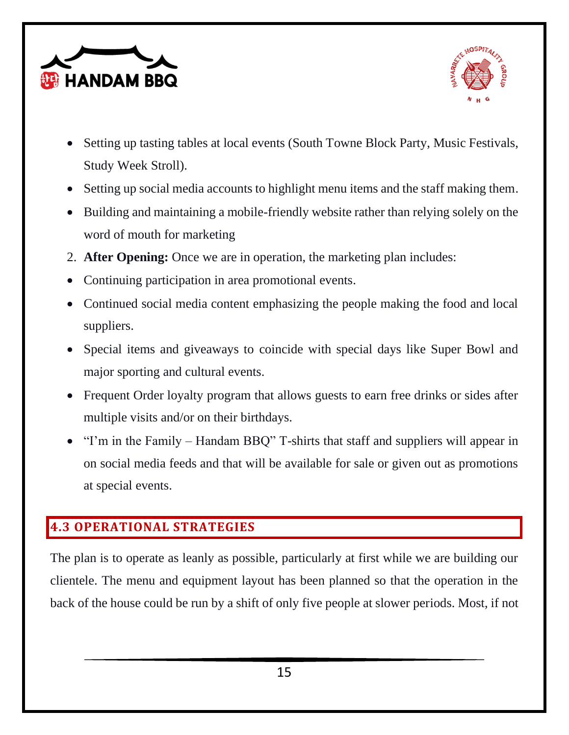



- Setting up tasting tables at local events (South Towne Block Party, Music Festivals, Study Week Stroll).
- Setting up social media accounts to highlight menu items and the staff making them.
- Building and maintaining a mobile-friendly website rather than relying solely on the word of mouth for marketing
- 2. **After Opening:** Once we are in operation, the marketing plan includes:
- Continuing participation in area promotional events.
- Continued social media content emphasizing the people making the food and local suppliers.
- Special items and giveaways to coincide with special days like Super Bowl and major sporting and cultural events.
- Frequent Order loyalty program that allows guests to earn free drinks or sides after multiple visits and/or on their birthdays.
- "I'm in the Family Handam BBQ" T-shirts that staff and suppliers will appear in on social media feeds and that will be available for sale or given out as promotions at special events.

#### <span id="page-15-0"></span>**4.3 OPERATIONAL STRATEGIES**

The plan is to operate as leanly as possible, particularly at first while we are building our clientele. The menu and equipment layout has been planned so that the operation in the back of the house could be run by a shift of only five people at slower periods. Most, if not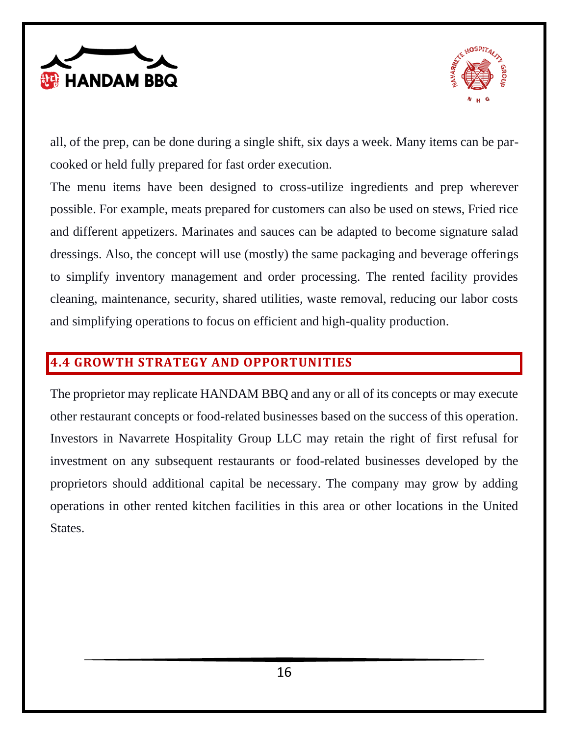



all, of the prep, can be done during a single shift, six days a week. Many items can be parcooked or held fully prepared for fast order execution.

The menu items have been designed to cross-utilize ingredients and prep wherever possible. For example, meats prepared for customers can also be used on stews, Fried rice and different appetizers. Marinates and sauces can be adapted to become signature salad dressings. Also, the concept will use (mostly) the same packaging and beverage offerings to simplify inventory management and order processing. The rented facility provides cleaning, maintenance, security, shared utilities, waste removal, reducing our labor costs and simplifying operations to focus on efficient and high-quality production.

#### <span id="page-16-0"></span>**4.4 GROWTH STRATEGY AND OPPORTUNITIES**

The proprietor may replicate HANDAM BBQ and any or all of its concepts or may execute other restaurant concepts or food-related businesses based on the success of this operation. Investors in Navarrete Hospitality Group LLC may retain the right of first refusal for investment on any subsequent restaurants or food-related businesses developed by the proprietors should additional capital be necessary. The company may grow by adding operations in other rented kitchen facilities in this area or other locations in the United States.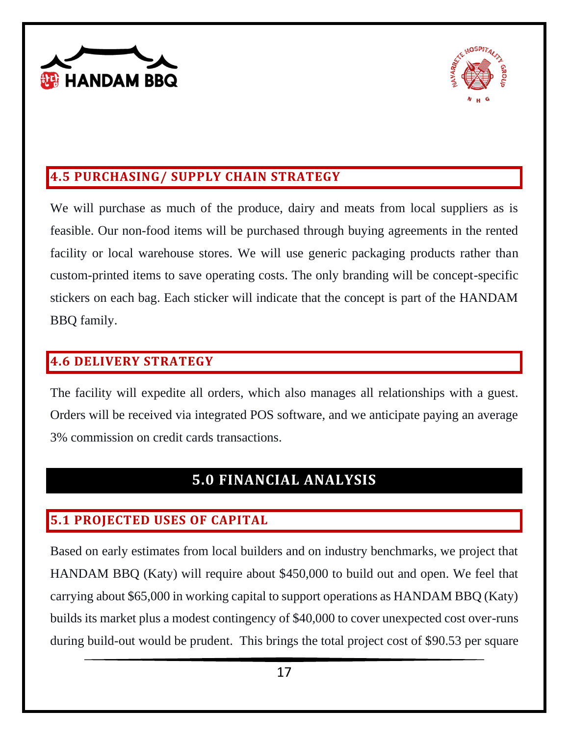



#### <span id="page-17-0"></span>**4.5 PURCHASING/ SUPPLY CHAIN STRATEGY**

We will purchase as much of the produce, dairy and meats from local suppliers as is feasible. Our non-food items will be purchased through buying agreements in the rented facility or local warehouse stores. We will use generic packaging products rather than custom-printed items to save operating costs. The only branding will be concept-specific stickers on each bag. Each sticker will indicate that the concept is part of the HANDAM BBQ family.

#### <span id="page-17-1"></span>**4.6 DELIVERY STRATEGY**

The facility will expedite all orders, which also manages all relationships with a guest. Orders will be received via integrated POS software, and we anticipate paying an average 3% commission on credit cards transactions.

# **5.0 FINANCIAL ANALYSIS**

## <span id="page-17-3"></span><span id="page-17-2"></span>**5.1 PROJECTED USES OF CAPITAL**

Based on early estimates from local builders and on industry benchmarks, we project that HANDAM BBQ (Katy) will require about \$450,000 to build out and open. We feel that carrying about \$65,000 in working capital to support operations as HANDAM BBQ (Katy) builds its market plus a modest contingency of \$40,000 to cover unexpected cost over-runs during build-out would be prudent. This brings the total project cost of \$90.53 per square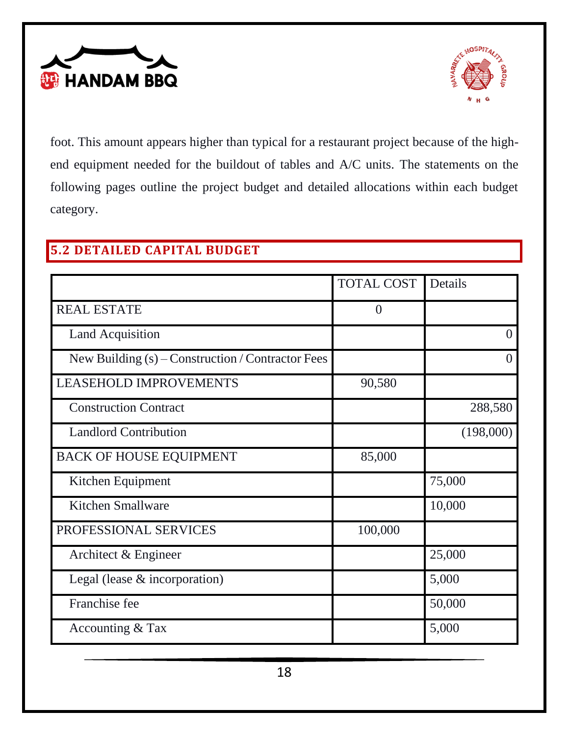



foot. This amount appears higher than typical for a restaurant project because of the highend equipment needed for the buildout of tables and A/C units. The statements on the following pages outline the project budget and detailed allocations within each budget category.

#### <span id="page-18-0"></span>**5.2 DETAILED CAPITAL BUDGET**

|                                                     | <b>TOTAL COST</b> | Details   |
|-----------------------------------------------------|-------------------|-----------|
| <b>REAL ESTATE</b>                                  | $\overline{0}$    |           |
| <b>Land Acquisition</b>                             |                   | $\Omega$  |
| New Building $(s)$ – Construction / Contractor Fees |                   | $\Omega$  |
| LEASEHOLD IMPROVEMENTS                              | 90,580            |           |
| <b>Construction Contract</b>                        |                   | 288,580   |
| <b>Landlord Contribution</b>                        |                   | (198,000) |
| <b>BACK OF HOUSE EQUIPMENT</b>                      | 85,000            |           |
| Kitchen Equipment                                   |                   | 75,000    |
| Kitchen Smallware                                   |                   | 10,000    |
| PROFESSIONAL SERVICES                               | 100,000           |           |
| Architect & Engineer                                |                   | 25,000    |
| Legal (lease $&$ incorporation)                     |                   | 5,000     |
| Franchise fee                                       |                   | 50,000    |
| Accounting & Tax                                    |                   | 5,000     |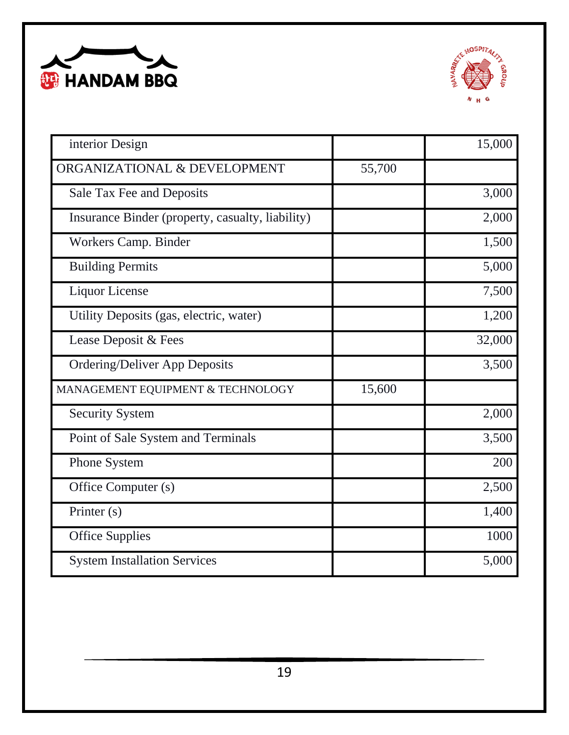



| interior Design                                  |        | 15,000 |
|--------------------------------------------------|--------|--------|
| ORGANIZATIONAL & DEVELOPMENT                     | 55,700 |        |
| Sale Tax Fee and Deposits                        |        | 3,000  |
| Insurance Binder (property, casualty, liability) |        | 2,000  |
| Workers Camp. Binder                             |        | 1,500  |
| <b>Building Permits</b>                          |        | 5,000  |
| <b>Liquor License</b>                            |        | 7,500  |
| Utility Deposits (gas, electric, water)          |        | 1,200  |
| Lease Deposit & Fees                             |        | 32,000 |
| <b>Ordering/Deliver App Deposits</b>             |        | 3,500  |
| MANAGEMENT EQUIPMENT & TECHNOLOGY                | 15,600 |        |
| <b>Security System</b>                           |        | 2,000  |
| Point of Sale System and Terminals               |        | 3,500  |
| Phone System                                     |        | 200    |
| Office Computer (s)                              |        | 2,500  |
| Printer (s)                                      |        | 1,400  |
| <b>Office Supplies</b>                           |        | 1000   |
| <b>System Installation Services</b>              |        | 5,000  |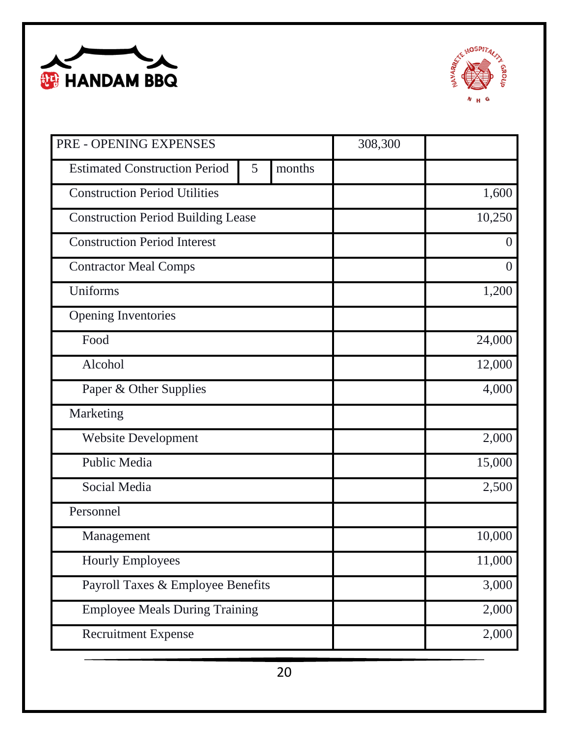



| PRE - OPENING EXPENSES                    |   | 308,300 |  |                |
|-------------------------------------------|---|---------|--|----------------|
| <b>Estimated Construction Period</b>      | 5 | months  |  |                |
| <b>Construction Period Utilities</b>      |   |         |  | 1,600          |
| <b>Construction Period Building Lease</b> |   |         |  | 10,250         |
| <b>Construction Period Interest</b>       |   |         |  | $\overline{0}$ |
| <b>Contractor Meal Comps</b>              |   |         |  | $\theta$       |
| Uniforms                                  |   |         |  | 1,200          |
| <b>Opening Inventories</b>                |   |         |  |                |
| Food                                      |   |         |  | 24,000         |
| Alcohol                                   |   |         |  | 12,000         |
| Paper & Other Supplies                    |   |         |  | 4,000          |
| Marketing                                 |   |         |  |                |
| <b>Website Development</b>                |   |         |  | 2,000          |
| Public Media                              |   |         |  | 15,000         |
| Social Media                              |   |         |  | 2,500          |
| Personnel                                 |   |         |  |                |
| Management                                |   |         |  | 10,000         |
| <b>Hourly Employees</b>                   |   |         |  | 11,000         |
| Payroll Taxes & Employee Benefits         |   |         |  | 3,000          |
| <b>Employee Meals During Training</b>     |   |         |  | 2,000          |
| <b>Recruitment Expense</b>                |   |         |  | 2,000          |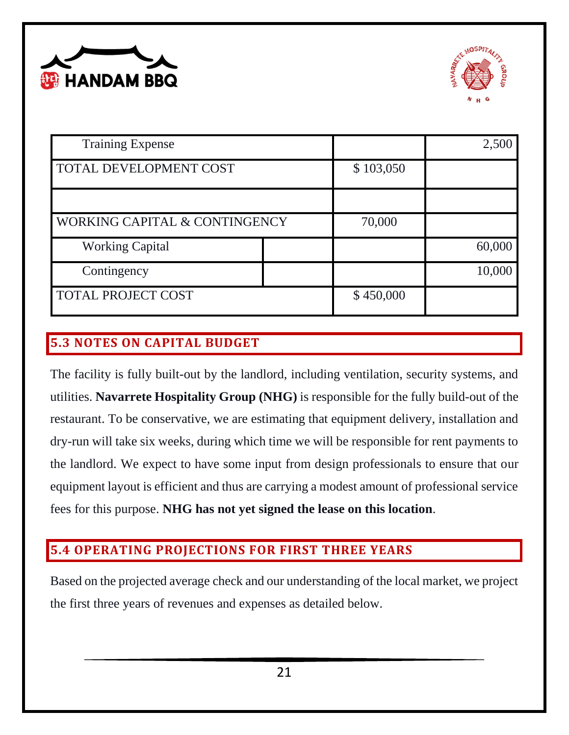



| <b>Training Expense</b>       |           | 2,500  |
|-------------------------------|-----------|--------|
| TOTAL DEVELOPMENT COST        | \$103,050 |        |
|                               |           |        |
| WORKING CAPITAL & CONTINGENCY | 70,000    |        |
| <b>Working Capital</b>        |           | 60,000 |
| Contingency                   |           | 10,000 |
| TOTAL PROJECT COST            | \$450,000 |        |

## <span id="page-21-0"></span>**5.3 NOTES ON CAPITAL BUDGET**

The facility is fully built-out by the landlord, including ventilation, security systems, and utilities. **Navarrete Hospitality Group (NHG)** is responsible for the fully build-out of the restaurant. To be conservative, we are estimating that equipment delivery, installation and dry-run will take six weeks, during which time we will be responsible for rent payments to the landlord. We expect to have some input from design professionals to ensure that our equipment layout is efficient and thus are carrying a modest amount of professional service fees for this purpose. **NHG has not yet signed the lease on this location**.

#### <span id="page-21-1"></span>**5.4 OPERATING PROJECTIONS FOR FIRST THREE YEARS**

Based on the projected average check and our understanding of the local market, we project the first three years of revenues and expenses as detailed below.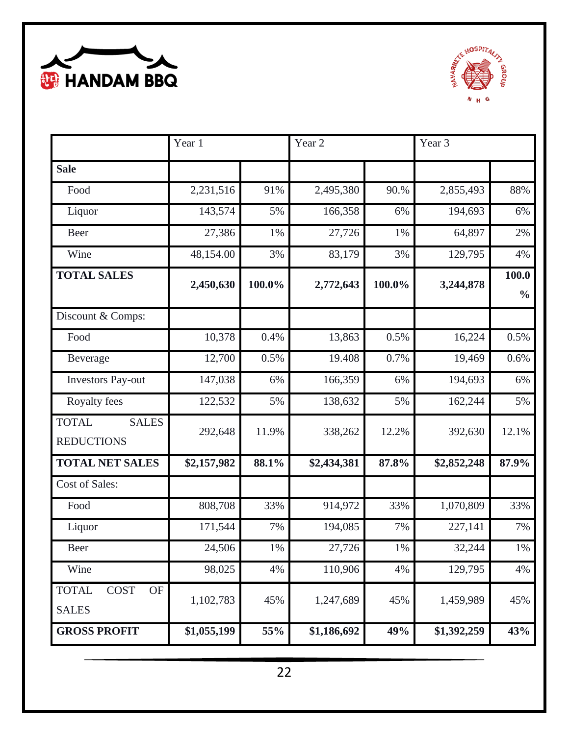



|                                                          | Year 1      |        | Year 2      |        | Year 3      |                        |
|----------------------------------------------------------|-------------|--------|-------------|--------|-------------|------------------------|
| <b>Sale</b>                                              |             |        |             |        |             |                        |
| Food                                                     | 2,231,516   | 91%    | 2,495,380   | 90.%   | 2,855,493   | 88%                    |
| Liquor                                                   | 143,574     | 5%     | 166,358     | 6%     | 194,693     | 6%                     |
| Beer                                                     | 27,386      | 1%     | 27,726      | 1%     | 64,897      | 2%                     |
| Wine                                                     | 48,154.00   | 3%     | 83,179      | 3%     | 129,795     | 4%                     |
| <b>TOTAL SALES</b>                                       | 2,450,630   | 100.0% | 2,772,643   | 100.0% | 3,244,878   | 100.0<br>$\frac{0}{0}$ |
| Discount & Comps:                                        |             |        |             |        |             |                        |
| Food                                                     | 10,378      | 0.4%   | 13,863      | 0.5%   | 16,224      | 0.5%                   |
| Beverage                                                 | 12,700      | 0.5%   | 19.408      | 0.7%   | 19,469      | 0.6%                   |
| <b>Investors Pay-out</b>                                 | 147,038     | 6%     | 166,359     | 6%     | 194,693     | 6%                     |
| Royalty fees                                             | 122,532     | 5%     | 138,632     | 5%     | 162,244     | 5%                     |
| <b>TOTAL</b><br><b>SALES</b><br><b>REDUCTIONS</b>        | 292,648     | 11.9%  | 338,262     | 12.2%  | 392,630     | 12.1%                  |
| <b>TOTAL NET SALES</b>                                   | \$2,157,982 | 88.1%  | \$2,434,381 | 87.8%  | \$2,852,248 | 87.9%                  |
| Cost of Sales:                                           |             |        |             |        |             |                        |
| Food                                                     | 808,708     | 33%    | 914,972     | 33%    | 1,070,809   | 33%                    |
| Liquor                                                   | 171,544     | 7%     | 194,085     | 7%     | 227,141     | 7%                     |
| Beer                                                     | 24,506      | $1\%$  | 27,726      | $1\%$  | 32,244      | $1\%$                  |
| Wine                                                     | 98,025      | 4%     | 110,906     | 4%     | 129,795     | 4%                     |
| <b>TOTAL</b><br><b>COST</b><br><b>OF</b><br><b>SALES</b> | 1,102,783   | 45%    | 1,247,689   | 45%    | 1,459,989   | 45%                    |
| <b>GROSS PROFIT</b>                                      | \$1,055,199 | 55%    | \$1,186,692 | 49%    | \$1,392,259 | 43%                    |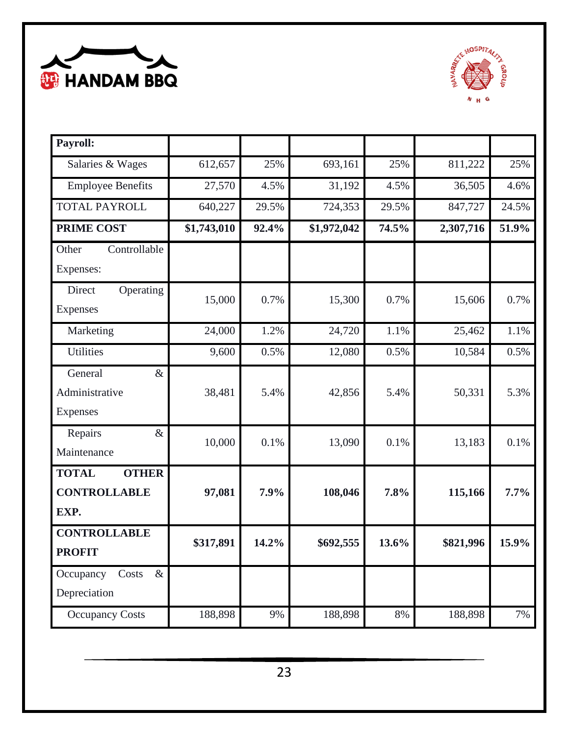



| Payroll:                     |             |       |             |       |           |         |
|------------------------------|-------------|-------|-------------|-------|-----------|---------|
| Salaries & Wages             | 612,657     | 25%   | 693,161     | 25%   | 811,222   | 25%     |
| <b>Employee Benefits</b>     | 27,570      | 4.5%  | 31,192      | 4.5%  | 36,505    | 4.6%    |
| <b>TOTAL PAYROLL</b>         | 640,227     | 29.5% | 724,353     | 29.5% | 847,727   | 24.5%   |
| <b>PRIME COST</b>            | \$1,743,010 | 92.4% | \$1,972,042 | 74.5% | 2,307,716 | 51.9%   |
| Controllable<br>Other        |             |       |             |       |           |         |
| Expenses:                    |             |       |             |       |           |         |
| Direct<br>Operating          | 15,000      | 0.7%  | 15,300      | 0.7%  | 15,606    | 0.7%    |
| <b>Expenses</b>              |             |       |             |       |           |         |
| Marketing                    | 24,000      | 1.2%  | 24,720      | 1.1%  | 25,462    | 1.1%    |
| <b>Utilities</b>             | 9,600       | 0.5%  | 12,080      | 0.5%  | 10,584    | 0.5%    |
| General<br>$\&$              |             |       |             |       |           |         |
| Administrative               | 38,481      | 5.4%  | 42,856      | 5.4%  | 50,331    | 5.3%    |
| <b>Expenses</b>              |             |       |             |       |           |         |
| $\&$<br>Repairs              | 10,000      | 0.1%  | 13,090      | 0.1%  | 13,183    | 0.1%    |
| Maintenance                  |             |       |             |       |           |         |
| <b>TOTAL</b><br><b>OTHER</b> |             |       |             |       |           |         |
| <b>CONTROLLABLE</b>          | 97,081      | 7.9%  | 108,046     | 7.8%  | 115,166   | $7.7\%$ |
| EXP.                         |             |       |             |       |           |         |
| <b>CONTROLLABLE</b>          | \$317,891   | 14.2% | \$692,555   | 13.6% | \$821,996 | 15.9%   |
| <b>PROFIT</b>                |             |       |             |       |           |         |
| $\&$<br>Occupancy<br>Costs   |             |       |             |       |           |         |
| Depreciation                 |             |       |             |       |           |         |
| <b>Occupancy Costs</b>       | 188,898     | 9%    | 188,898     | 8%    | 188,898   | 7%      |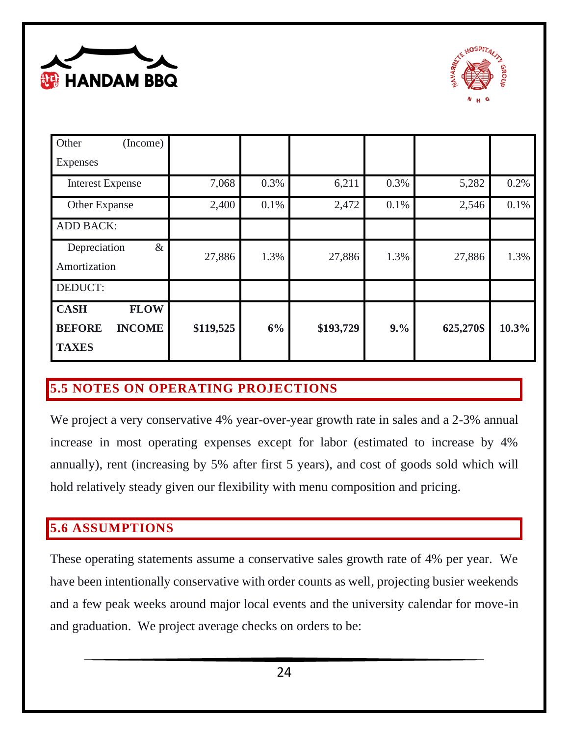



| Other<br>(Income)                                                            |           |      |           |      |           |       |
|------------------------------------------------------------------------------|-----------|------|-----------|------|-----------|-------|
| Expenses                                                                     |           |      |           |      |           |       |
| <b>Interest Expense</b>                                                      | 7,068     | 0.3% | 6,211     | 0.3% | 5,282     | 0.2%  |
| Other Expanse                                                                | 2,400     | 0.1% | 2,472     | 0.1% | 2,546     | 0.1%  |
| <b>ADD BACK:</b>                                                             |           |      |           |      |           |       |
| $\&$<br>Depreciation<br>Amortization                                         | 27,886    | 1.3% | 27,886    | 1.3% | 27,886    | 1.3%  |
| DEDUCT:                                                                      |           |      |           |      |           |       |
| <b>FLOW</b><br><b>CASH</b><br><b>INCOME</b><br><b>BEFORE</b><br><b>TAXES</b> | \$119,525 | 6%   | \$193,729 | 9.%  | 625,270\$ | 10.3% |

# <span id="page-24-0"></span>**5.5 NOTES ON OPERATING PROJECTIONS**

We project a very conservative 4% year-over-year growth rate in sales and a 2-3% annual increase in most operating expenses except for labor (estimated to increase by 4% annually), rent (increasing by 5% after first 5 years), and cost of goods sold which will hold relatively steady given our flexibility with menu composition and pricing.

## <span id="page-24-1"></span>**5.6 ASSUMPTIONS**

These operating statements assume a conservative sales growth rate of 4% per year. We have been intentionally conservative with order counts as well, projecting busier weekends and a few peak weeks around major local events and the university calendar for move-in and graduation. We project average checks on orders to be: